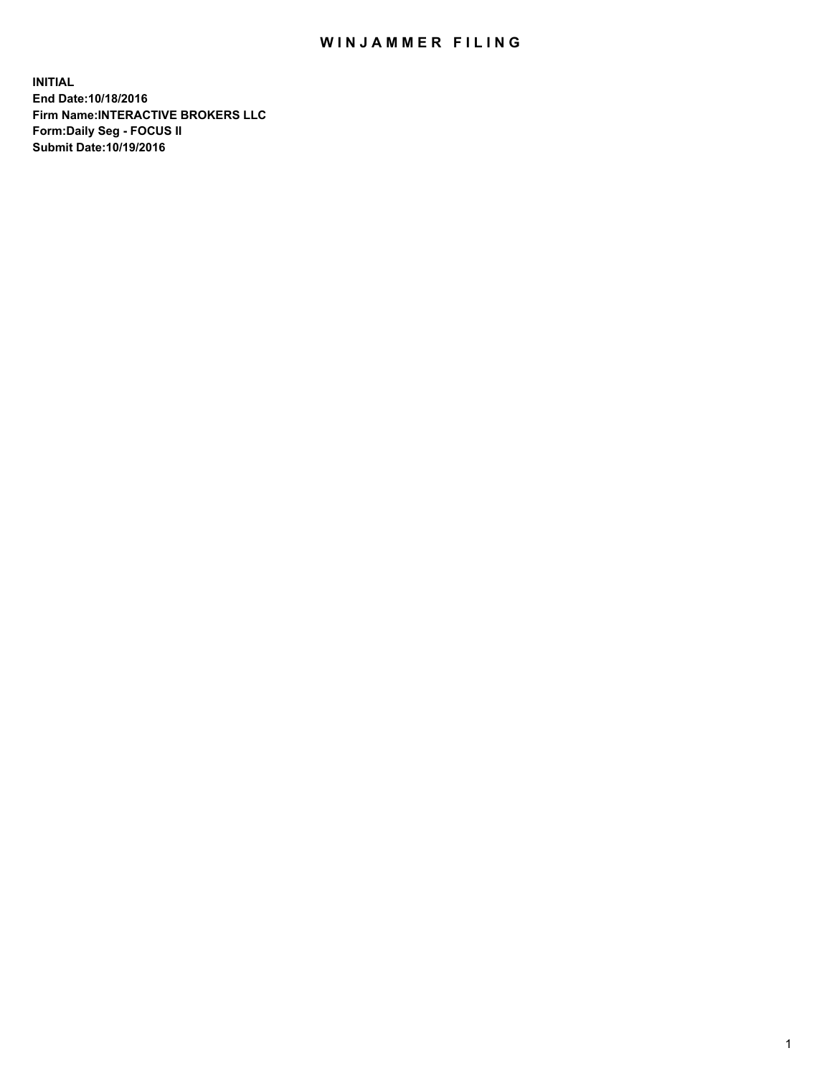## WIN JAMMER FILING

**INITIAL End Date:10/18/2016 Firm Name:INTERACTIVE BROKERS LLC Form:Daily Seg - FOCUS II Submit Date:10/19/2016**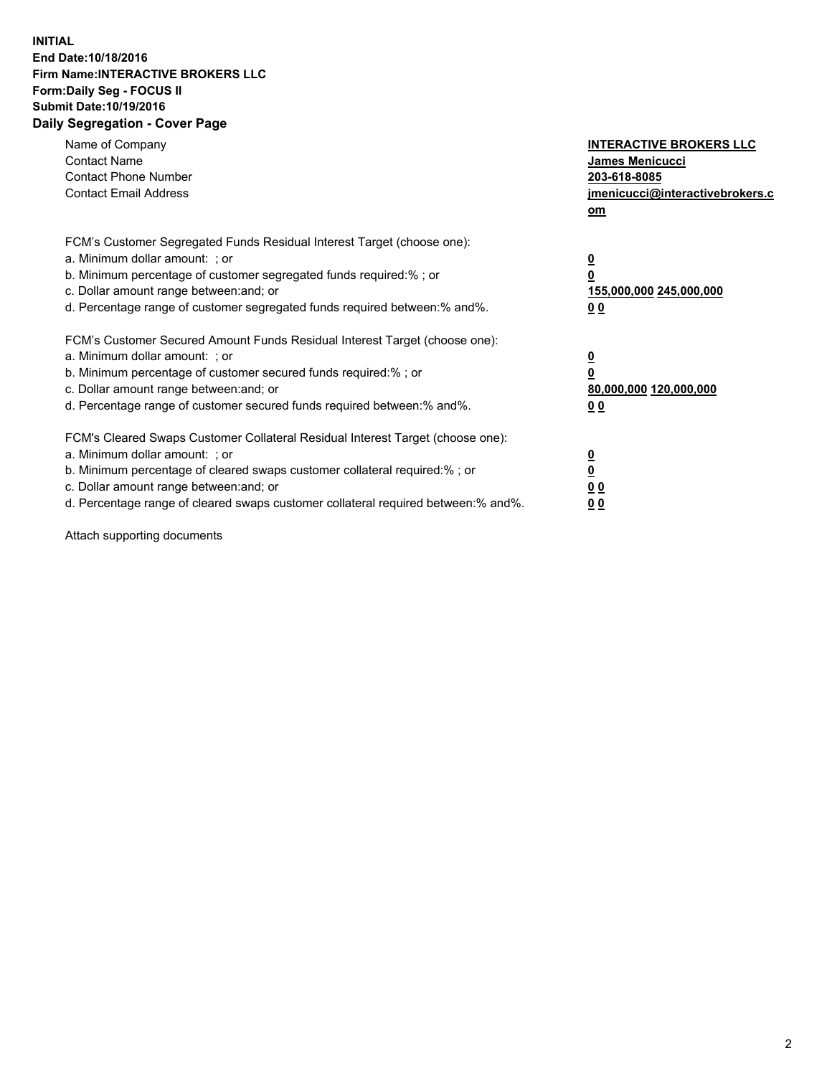## **INITIAL End Date:10/18/2016 Firm Name:INTERACTIVE BROKERS LLC Form:Daily Seg - FOCUS II Submit Date:10/19/2016 Daily Segregation - Cover Page**

| Name of Company<br><b>Contact Name</b><br><b>Contact Phone Number</b><br><b>Contact Email Address</b>                                                                                                                                                                                                                          | <b>INTERACTIVE BROKERS LLC</b><br><b>James Menicucci</b><br>203-618-8085<br>jmenicucci@interactivebrokers.c<br>om |
|--------------------------------------------------------------------------------------------------------------------------------------------------------------------------------------------------------------------------------------------------------------------------------------------------------------------------------|-------------------------------------------------------------------------------------------------------------------|
| FCM's Customer Segregated Funds Residual Interest Target (choose one):<br>a. Minimum dollar amount: ; or<br>b. Minimum percentage of customer segregated funds required:%; or<br>c. Dollar amount range between: and; or<br>d. Percentage range of customer segregated funds required between:% and%.                          | $\overline{\mathbf{0}}$<br>0<br>155,000,000 245,000,000<br>0 <sub>0</sub>                                         |
| FCM's Customer Secured Amount Funds Residual Interest Target (choose one):<br>a. Minimum dollar amount: ; or<br>b. Minimum percentage of customer secured funds required:%; or<br>c. Dollar amount range between: and; or<br>d. Percentage range of customer secured funds required between: % and %.                          | $\overline{\mathbf{0}}$<br>0<br>80,000,000 120,000,000<br>0 <sub>0</sub>                                          |
| FCM's Cleared Swaps Customer Collateral Residual Interest Target (choose one):<br>a. Minimum dollar amount: ; or<br>b. Minimum percentage of cleared swaps customer collateral required:% ; or<br>c. Dollar amount range between: and; or<br>d. Percentage range of cleared swaps customer collateral required between:% and%. | $\overline{\mathbf{0}}$<br>$\overline{\mathbf{0}}$<br>0 <sub>0</sub><br><u>00</u>                                 |

Attach supporting documents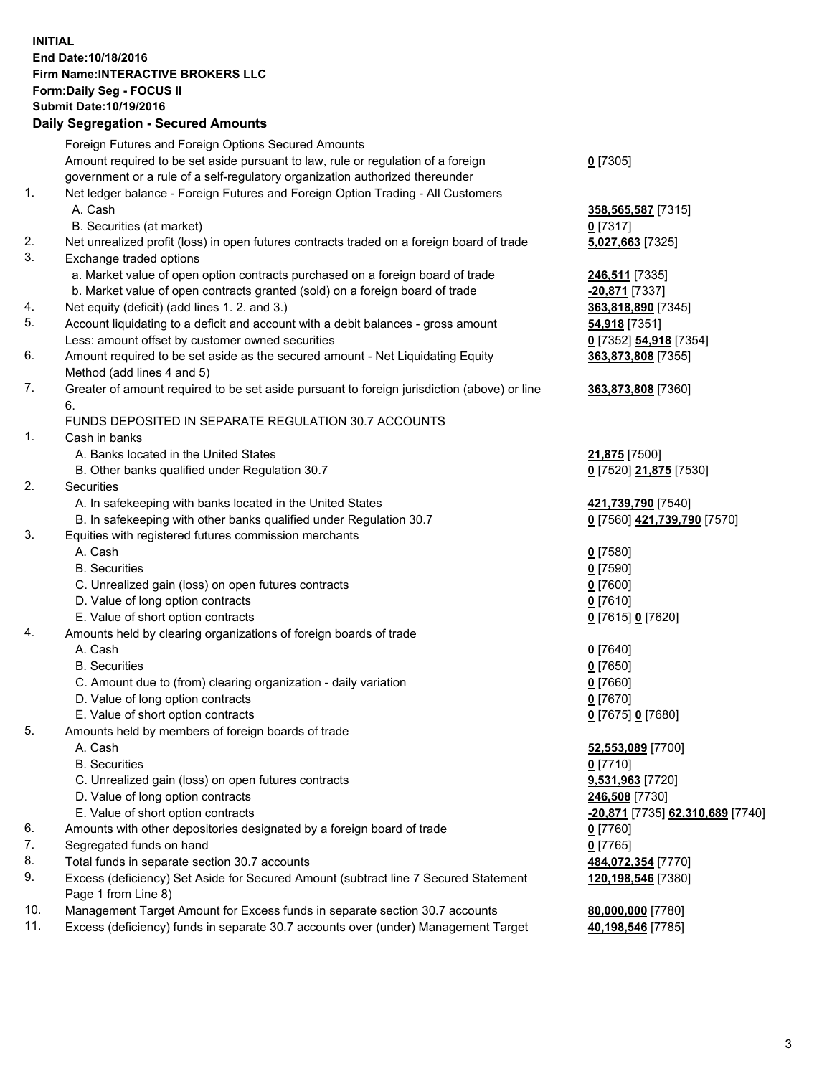## **INITIAL End Date:10/18/2016 Firm Name:INTERACTIVE BROKERS LLC Form:Daily Seg - FOCUS II Submit Date:10/19/2016 Daily Segregation - Secured Amounts**

| Dany Ocgregation - Occurea Aniounts                                              |                                                                                                                                                                                                                                                                                                                                                                                                                                                                                                                                                                                                                                                                                                                                                                                                                                                                                                                                                                                                                                                                                                                                                                                                                                                                                                                                                                                                                                                                                                                                                                                                                                                                                                                                                                                                                                                                                                                                                                                                                                                                                                                                                                                                                  |
|----------------------------------------------------------------------------------|------------------------------------------------------------------------------------------------------------------------------------------------------------------------------------------------------------------------------------------------------------------------------------------------------------------------------------------------------------------------------------------------------------------------------------------------------------------------------------------------------------------------------------------------------------------------------------------------------------------------------------------------------------------------------------------------------------------------------------------------------------------------------------------------------------------------------------------------------------------------------------------------------------------------------------------------------------------------------------------------------------------------------------------------------------------------------------------------------------------------------------------------------------------------------------------------------------------------------------------------------------------------------------------------------------------------------------------------------------------------------------------------------------------------------------------------------------------------------------------------------------------------------------------------------------------------------------------------------------------------------------------------------------------------------------------------------------------------------------------------------------------------------------------------------------------------------------------------------------------------------------------------------------------------------------------------------------------------------------------------------------------------------------------------------------------------------------------------------------------------------------------------------------------------------------------------------------------|
| Foreign Futures and Foreign Options Secured Amounts                              |                                                                                                                                                                                                                                                                                                                                                                                                                                                                                                                                                                                                                                                                                                                                                                                                                                                                                                                                                                                                                                                                                                                                                                                                                                                                                                                                                                                                                                                                                                                                                                                                                                                                                                                                                                                                                                                                                                                                                                                                                                                                                                                                                                                                                  |
| Amount required to be set aside pursuant to law, rule or regulation of a foreign | $0$ [7305]                                                                                                                                                                                                                                                                                                                                                                                                                                                                                                                                                                                                                                                                                                                                                                                                                                                                                                                                                                                                                                                                                                                                                                                                                                                                                                                                                                                                                                                                                                                                                                                                                                                                                                                                                                                                                                                                                                                                                                                                                                                                                                                                                                                                       |
| government or a rule of a self-regulatory organization authorized thereunder     |                                                                                                                                                                                                                                                                                                                                                                                                                                                                                                                                                                                                                                                                                                                                                                                                                                                                                                                                                                                                                                                                                                                                                                                                                                                                                                                                                                                                                                                                                                                                                                                                                                                                                                                                                                                                                                                                                                                                                                                                                                                                                                                                                                                                                  |
| Net ledger balance - Foreign Futures and Foreign Option Trading - All Customers  |                                                                                                                                                                                                                                                                                                                                                                                                                                                                                                                                                                                                                                                                                                                                                                                                                                                                                                                                                                                                                                                                                                                                                                                                                                                                                                                                                                                                                                                                                                                                                                                                                                                                                                                                                                                                                                                                                                                                                                                                                                                                                                                                                                                                                  |
| A. Cash                                                                          | 358,565,587 [7315]                                                                                                                                                                                                                                                                                                                                                                                                                                                                                                                                                                                                                                                                                                                                                                                                                                                                                                                                                                                                                                                                                                                                                                                                                                                                                                                                                                                                                                                                                                                                                                                                                                                                                                                                                                                                                                                                                                                                                                                                                                                                                                                                                                                               |
|                                                                                  | 0 [7317]                                                                                                                                                                                                                                                                                                                                                                                                                                                                                                                                                                                                                                                                                                                                                                                                                                                                                                                                                                                                                                                                                                                                                                                                                                                                                                                                                                                                                                                                                                                                                                                                                                                                                                                                                                                                                                                                                                                                                                                                                                                                                                                                                                                                         |
|                                                                                  | 5,027,663 [7325]                                                                                                                                                                                                                                                                                                                                                                                                                                                                                                                                                                                                                                                                                                                                                                                                                                                                                                                                                                                                                                                                                                                                                                                                                                                                                                                                                                                                                                                                                                                                                                                                                                                                                                                                                                                                                                                                                                                                                                                                                                                                                                                                                                                                 |
|                                                                                  |                                                                                                                                                                                                                                                                                                                                                                                                                                                                                                                                                                                                                                                                                                                                                                                                                                                                                                                                                                                                                                                                                                                                                                                                                                                                                                                                                                                                                                                                                                                                                                                                                                                                                                                                                                                                                                                                                                                                                                                                                                                                                                                                                                                                                  |
|                                                                                  | 246,511 [7335]                                                                                                                                                                                                                                                                                                                                                                                                                                                                                                                                                                                                                                                                                                                                                                                                                                                                                                                                                                                                                                                                                                                                                                                                                                                                                                                                                                                                                                                                                                                                                                                                                                                                                                                                                                                                                                                                                                                                                                                                                                                                                                                                                                                                   |
|                                                                                  | -20,871 [7337]                                                                                                                                                                                                                                                                                                                                                                                                                                                                                                                                                                                                                                                                                                                                                                                                                                                                                                                                                                                                                                                                                                                                                                                                                                                                                                                                                                                                                                                                                                                                                                                                                                                                                                                                                                                                                                                                                                                                                                                                                                                                                                                                                                                                   |
|                                                                                  | 363,818,890 [7345]                                                                                                                                                                                                                                                                                                                                                                                                                                                                                                                                                                                                                                                                                                                                                                                                                                                                                                                                                                                                                                                                                                                                                                                                                                                                                                                                                                                                                                                                                                                                                                                                                                                                                                                                                                                                                                                                                                                                                                                                                                                                                                                                                                                               |
|                                                                                  | 54,918 [7351]                                                                                                                                                                                                                                                                                                                                                                                                                                                                                                                                                                                                                                                                                                                                                                                                                                                                                                                                                                                                                                                                                                                                                                                                                                                                                                                                                                                                                                                                                                                                                                                                                                                                                                                                                                                                                                                                                                                                                                                                                                                                                                                                                                                                    |
|                                                                                  | 0 [7352] 54,918 [7354]                                                                                                                                                                                                                                                                                                                                                                                                                                                                                                                                                                                                                                                                                                                                                                                                                                                                                                                                                                                                                                                                                                                                                                                                                                                                                                                                                                                                                                                                                                                                                                                                                                                                                                                                                                                                                                                                                                                                                                                                                                                                                                                                                                                           |
|                                                                                  | 363,873,808 [7355]                                                                                                                                                                                                                                                                                                                                                                                                                                                                                                                                                                                                                                                                                                                                                                                                                                                                                                                                                                                                                                                                                                                                                                                                                                                                                                                                                                                                                                                                                                                                                                                                                                                                                                                                                                                                                                                                                                                                                                                                                                                                                                                                                                                               |
|                                                                                  |                                                                                                                                                                                                                                                                                                                                                                                                                                                                                                                                                                                                                                                                                                                                                                                                                                                                                                                                                                                                                                                                                                                                                                                                                                                                                                                                                                                                                                                                                                                                                                                                                                                                                                                                                                                                                                                                                                                                                                                                                                                                                                                                                                                                                  |
|                                                                                  | 363,873,808 [7360]                                                                                                                                                                                                                                                                                                                                                                                                                                                                                                                                                                                                                                                                                                                                                                                                                                                                                                                                                                                                                                                                                                                                                                                                                                                                                                                                                                                                                                                                                                                                                                                                                                                                                                                                                                                                                                                                                                                                                                                                                                                                                                                                                                                               |
|                                                                                  |                                                                                                                                                                                                                                                                                                                                                                                                                                                                                                                                                                                                                                                                                                                                                                                                                                                                                                                                                                                                                                                                                                                                                                                                                                                                                                                                                                                                                                                                                                                                                                                                                                                                                                                                                                                                                                                                                                                                                                                                                                                                                                                                                                                                                  |
|                                                                                  |                                                                                                                                                                                                                                                                                                                                                                                                                                                                                                                                                                                                                                                                                                                                                                                                                                                                                                                                                                                                                                                                                                                                                                                                                                                                                                                                                                                                                                                                                                                                                                                                                                                                                                                                                                                                                                                                                                                                                                                                                                                                                                                                                                                                                  |
|                                                                                  |                                                                                                                                                                                                                                                                                                                                                                                                                                                                                                                                                                                                                                                                                                                                                                                                                                                                                                                                                                                                                                                                                                                                                                                                                                                                                                                                                                                                                                                                                                                                                                                                                                                                                                                                                                                                                                                                                                                                                                                                                                                                                                                                                                                                                  |
|                                                                                  | 21,875 [7500]                                                                                                                                                                                                                                                                                                                                                                                                                                                                                                                                                                                                                                                                                                                                                                                                                                                                                                                                                                                                                                                                                                                                                                                                                                                                                                                                                                                                                                                                                                                                                                                                                                                                                                                                                                                                                                                                                                                                                                                                                                                                                                                                                                                                    |
|                                                                                  | 0 [7520] 21,875 [7530]                                                                                                                                                                                                                                                                                                                                                                                                                                                                                                                                                                                                                                                                                                                                                                                                                                                                                                                                                                                                                                                                                                                                                                                                                                                                                                                                                                                                                                                                                                                                                                                                                                                                                                                                                                                                                                                                                                                                                                                                                                                                                                                                                                                           |
|                                                                                  |                                                                                                                                                                                                                                                                                                                                                                                                                                                                                                                                                                                                                                                                                                                                                                                                                                                                                                                                                                                                                                                                                                                                                                                                                                                                                                                                                                                                                                                                                                                                                                                                                                                                                                                                                                                                                                                                                                                                                                                                                                                                                                                                                                                                                  |
|                                                                                  | 421,739,790 [7540]                                                                                                                                                                                                                                                                                                                                                                                                                                                                                                                                                                                                                                                                                                                                                                                                                                                                                                                                                                                                                                                                                                                                                                                                                                                                                                                                                                                                                                                                                                                                                                                                                                                                                                                                                                                                                                                                                                                                                                                                                                                                                                                                                                                               |
|                                                                                  | 0 [7560] 421,739,790 [7570]                                                                                                                                                                                                                                                                                                                                                                                                                                                                                                                                                                                                                                                                                                                                                                                                                                                                                                                                                                                                                                                                                                                                                                                                                                                                                                                                                                                                                                                                                                                                                                                                                                                                                                                                                                                                                                                                                                                                                                                                                                                                                                                                                                                      |
|                                                                                  |                                                                                                                                                                                                                                                                                                                                                                                                                                                                                                                                                                                                                                                                                                                                                                                                                                                                                                                                                                                                                                                                                                                                                                                                                                                                                                                                                                                                                                                                                                                                                                                                                                                                                                                                                                                                                                                                                                                                                                                                                                                                                                                                                                                                                  |
|                                                                                  | $0$ [7580]                                                                                                                                                                                                                                                                                                                                                                                                                                                                                                                                                                                                                                                                                                                                                                                                                                                                                                                                                                                                                                                                                                                                                                                                                                                                                                                                                                                                                                                                                                                                                                                                                                                                                                                                                                                                                                                                                                                                                                                                                                                                                                                                                                                                       |
|                                                                                  | $0$ [7590]                                                                                                                                                                                                                                                                                                                                                                                                                                                                                                                                                                                                                                                                                                                                                                                                                                                                                                                                                                                                                                                                                                                                                                                                                                                                                                                                                                                                                                                                                                                                                                                                                                                                                                                                                                                                                                                                                                                                                                                                                                                                                                                                                                                                       |
|                                                                                  | $0$ [7600]                                                                                                                                                                                                                                                                                                                                                                                                                                                                                                                                                                                                                                                                                                                                                                                                                                                                                                                                                                                                                                                                                                                                                                                                                                                                                                                                                                                                                                                                                                                                                                                                                                                                                                                                                                                                                                                                                                                                                                                                                                                                                                                                                                                                       |
|                                                                                  | $0$ [7610]                                                                                                                                                                                                                                                                                                                                                                                                                                                                                                                                                                                                                                                                                                                                                                                                                                                                                                                                                                                                                                                                                                                                                                                                                                                                                                                                                                                                                                                                                                                                                                                                                                                                                                                                                                                                                                                                                                                                                                                                                                                                                                                                                                                                       |
|                                                                                  |                                                                                                                                                                                                                                                                                                                                                                                                                                                                                                                                                                                                                                                                                                                                                                                                                                                                                                                                                                                                                                                                                                                                                                                                                                                                                                                                                                                                                                                                                                                                                                                                                                                                                                                                                                                                                                                                                                                                                                                                                                                                                                                                                                                                                  |
|                                                                                  | 0 [7615] 0 [7620]                                                                                                                                                                                                                                                                                                                                                                                                                                                                                                                                                                                                                                                                                                                                                                                                                                                                                                                                                                                                                                                                                                                                                                                                                                                                                                                                                                                                                                                                                                                                                                                                                                                                                                                                                                                                                                                                                                                                                                                                                                                                                                                                                                                                |
|                                                                                  |                                                                                                                                                                                                                                                                                                                                                                                                                                                                                                                                                                                                                                                                                                                                                                                                                                                                                                                                                                                                                                                                                                                                                                                                                                                                                                                                                                                                                                                                                                                                                                                                                                                                                                                                                                                                                                                                                                                                                                                                                                                                                                                                                                                                                  |
|                                                                                  | $0$ [7640]                                                                                                                                                                                                                                                                                                                                                                                                                                                                                                                                                                                                                                                                                                                                                                                                                                                                                                                                                                                                                                                                                                                                                                                                                                                                                                                                                                                                                                                                                                                                                                                                                                                                                                                                                                                                                                                                                                                                                                                                                                                                                                                                                                                                       |
|                                                                                  | $0$ [7650]                                                                                                                                                                                                                                                                                                                                                                                                                                                                                                                                                                                                                                                                                                                                                                                                                                                                                                                                                                                                                                                                                                                                                                                                                                                                                                                                                                                                                                                                                                                                                                                                                                                                                                                                                                                                                                                                                                                                                                                                                                                                                                                                                                                                       |
|                                                                                  | $0$ [7660]                                                                                                                                                                                                                                                                                                                                                                                                                                                                                                                                                                                                                                                                                                                                                                                                                                                                                                                                                                                                                                                                                                                                                                                                                                                                                                                                                                                                                                                                                                                                                                                                                                                                                                                                                                                                                                                                                                                                                                                                                                                                                                                                                                                                       |
|                                                                                  | $0$ [7670]                                                                                                                                                                                                                                                                                                                                                                                                                                                                                                                                                                                                                                                                                                                                                                                                                                                                                                                                                                                                                                                                                                                                                                                                                                                                                                                                                                                                                                                                                                                                                                                                                                                                                                                                                                                                                                                                                                                                                                                                                                                                                                                                                                                                       |
|                                                                                  | 0 [7675] 0 [7680]                                                                                                                                                                                                                                                                                                                                                                                                                                                                                                                                                                                                                                                                                                                                                                                                                                                                                                                                                                                                                                                                                                                                                                                                                                                                                                                                                                                                                                                                                                                                                                                                                                                                                                                                                                                                                                                                                                                                                                                                                                                                                                                                                                                                |
|                                                                                  |                                                                                                                                                                                                                                                                                                                                                                                                                                                                                                                                                                                                                                                                                                                                                                                                                                                                                                                                                                                                                                                                                                                                                                                                                                                                                                                                                                                                                                                                                                                                                                                                                                                                                                                                                                                                                                                                                                                                                                                                                                                                                                                                                                                                                  |
|                                                                                  | 52,553,089 [7700]                                                                                                                                                                                                                                                                                                                                                                                                                                                                                                                                                                                                                                                                                                                                                                                                                                                                                                                                                                                                                                                                                                                                                                                                                                                                                                                                                                                                                                                                                                                                                                                                                                                                                                                                                                                                                                                                                                                                                                                                                                                                                                                                                                                                |
|                                                                                  | $0$ [7710]                                                                                                                                                                                                                                                                                                                                                                                                                                                                                                                                                                                                                                                                                                                                                                                                                                                                                                                                                                                                                                                                                                                                                                                                                                                                                                                                                                                                                                                                                                                                                                                                                                                                                                                                                                                                                                                                                                                                                                                                                                                                                                                                                                                                       |
|                                                                                  | 9,531,963 [7720]                                                                                                                                                                                                                                                                                                                                                                                                                                                                                                                                                                                                                                                                                                                                                                                                                                                                                                                                                                                                                                                                                                                                                                                                                                                                                                                                                                                                                                                                                                                                                                                                                                                                                                                                                                                                                                                                                                                                                                                                                                                                                                                                                                                                 |
|                                                                                  | 246,508 [7730]                                                                                                                                                                                                                                                                                                                                                                                                                                                                                                                                                                                                                                                                                                                                                                                                                                                                                                                                                                                                                                                                                                                                                                                                                                                                                                                                                                                                                                                                                                                                                                                                                                                                                                                                                                                                                                                                                                                                                                                                                                                                                                                                                                                                   |
|                                                                                  | -20,871 [7735] 62,310,689 [7740]                                                                                                                                                                                                                                                                                                                                                                                                                                                                                                                                                                                                                                                                                                                                                                                                                                                                                                                                                                                                                                                                                                                                                                                                                                                                                                                                                                                                                                                                                                                                                                                                                                                                                                                                                                                                                                                                                                                                                                                                                                                                                                                                                                                 |
|                                                                                  | 0 [7760]                                                                                                                                                                                                                                                                                                                                                                                                                                                                                                                                                                                                                                                                                                                                                                                                                                                                                                                                                                                                                                                                                                                                                                                                                                                                                                                                                                                                                                                                                                                                                                                                                                                                                                                                                                                                                                                                                                                                                                                                                                                                                                                                                                                                         |
|                                                                                  | $0$ [7765]                                                                                                                                                                                                                                                                                                                                                                                                                                                                                                                                                                                                                                                                                                                                                                                                                                                                                                                                                                                                                                                                                                                                                                                                                                                                                                                                                                                                                                                                                                                                                                                                                                                                                                                                                                                                                                                                                                                                                                                                                                                                                                                                                                                                       |
|                                                                                  | 484,072,354 [7770]                                                                                                                                                                                                                                                                                                                                                                                                                                                                                                                                                                                                                                                                                                                                                                                                                                                                                                                                                                                                                                                                                                                                                                                                                                                                                                                                                                                                                                                                                                                                                                                                                                                                                                                                                                                                                                                                                                                                                                                                                                                                                                                                                                                               |
|                                                                                  | 120,198,546 [7380]                                                                                                                                                                                                                                                                                                                                                                                                                                                                                                                                                                                                                                                                                                                                                                                                                                                                                                                                                                                                                                                                                                                                                                                                                                                                                                                                                                                                                                                                                                                                                                                                                                                                                                                                                                                                                                                                                                                                                                                                                                                                                                                                                                                               |
|                                                                                  |                                                                                                                                                                                                                                                                                                                                                                                                                                                                                                                                                                                                                                                                                                                                                                                                                                                                                                                                                                                                                                                                                                                                                                                                                                                                                                                                                                                                                                                                                                                                                                                                                                                                                                                                                                                                                                                                                                                                                                                                                                                                                                                                                                                                                  |
|                                                                                  | 80,000,000 [7780]                                                                                                                                                                                                                                                                                                                                                                                                                                                                                                                                                                                                                                                                                                                                                                                                                                                                                                                                                                                                                                                                                                                                                                                                                                                                                                                                                                                                                                                                                                                                                                                                                                                                                                                                                                                                                                                                                                                                                                                                                                                                                                                                                                                                |
|                                                                                  | 40,198,546 [7785]                                                                                                                                                                                                                                                                                                                                                                                                                                                                                                                                                                                                                                                                                                                                                                                                                                                                                                                                                                                                                                                                                                                                                                                                                                                                                                                                                                                                                                                                                                                                                                                                                                                                                                                                                                                                                                                                                                                                                                                                                                                                                                                                                                                                |
|                                                                                  | B. Securities (at market)<br>Net unrealized profit (loss) in open futures contracts traded on a foreign board of trade<br>Exchange traded options<br>a. Market value of open option contracts purchased on a foreign board of trade<br>b. Market value of open contracts granted (sold) on a foreign board of trade<br>Net equity (deficit) (add lines 1. 2. and 3.)<br>Account liquidating to a deficit and account with a debit balances - gross amount<br>Less: amount offset by customer owned securities<br>Amount required to be set aside as the secured amount - Net Liquidating Equity<br>Method (add lines 4 and 5)<br>Greater of amount required to be set aside pursuant to foreign jurisdiction (above) or line<br>6.<br>FUNDS DEPOSITED IN SEPARATE REGULATION 30.7 ACCOUNTS<br>Cash in banks<br>A. Banks located in the United States<br>B. Other banks qualified under Regulation 30.7<br>Securities<br>A. In safekeeping with banks located in the United States<br>B. In safekeeping with other banks qualified under Regulation 30.7<br>Equities with registered futures commission merchants<br>A. Cash<br><b>B.</b> Securities<br>C. Unrealized gain (loss) on open futures contracts<br>D. Value of long option contracts<br>E. Value of short option contracts<br>Amounts held by clearing organizations of foreign boards of trade<br>A. Cash<br><b>B.</b> Securities<br>C. Amount due to (from) clearing organization - daily variation<br>D. Value of long option contracts<br>E. Value of short option contracts<br>Amounts held by members of foreign boards of trade<br>A. Cash<br><b>B.</b> Securities<br>C. Unrealized gain (loss) on open futures contracts<br>D. Value of long option contracts<br>E. Value of short option contracts<br>Amounts with other depositories designated by a foreign board of trade<br>Segregated funds on hand<br>Total funds in separate section 30.7 accounts<br>Excess (deficiency) Set Aside for Secured Amount (subtract line 7 Secured Statement<br>Page 1 from Line 8)<br>Management Target Amount for Excess funds in separate section 30.7 accounts<br>Excess (deficiency) funds in separate 30.7 accounts over (under) Management Target |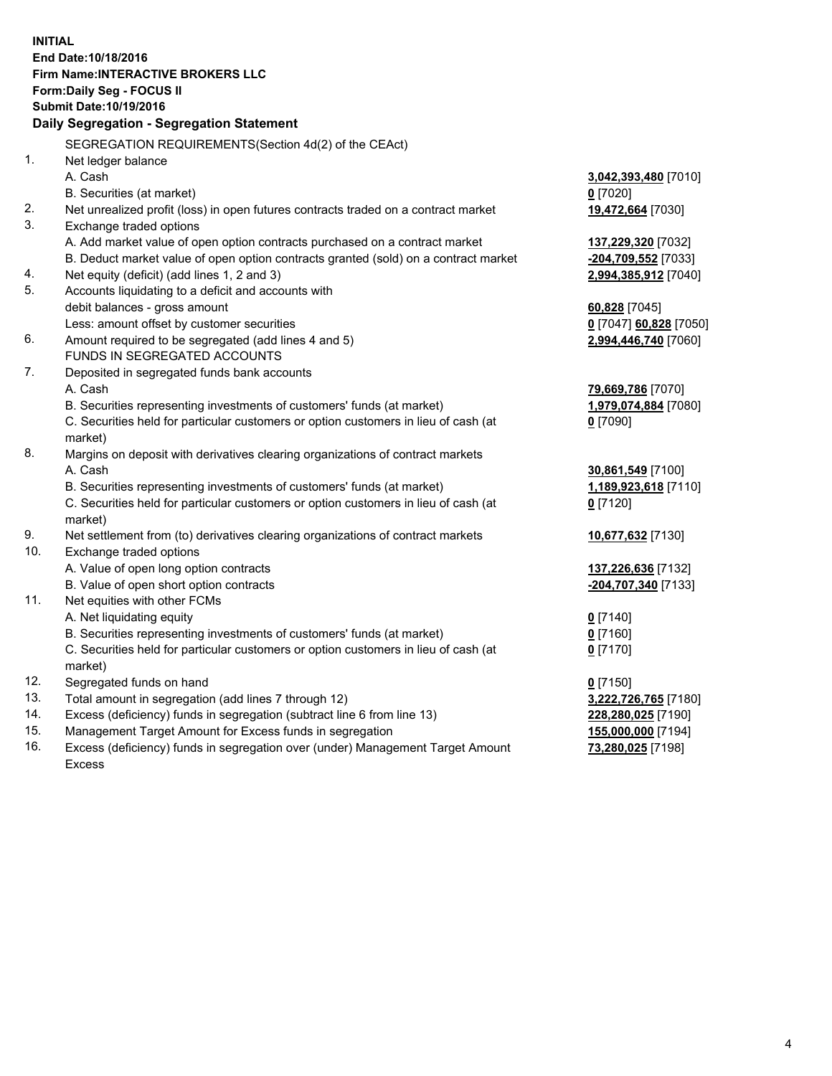**INITIAL End Date:10/18/2016 Firm Name:INTERACTIVE BROKERS LLC Form:Daily Seg - FOCUS II Submit Date:10/19/2016 Daily Segregation - Segregation Statement** SEGREGATION REQUIREMENTS(Section 4d(2) of the CEAct) 1. Net ledger balance A. Cash **3,042,393,480** [7010] B. Securities (at market) **0** [7020] 2. Net unrealized profit (loss) in open futures contracts traded on a contract market **19,472,664** [7030] 3. Exchange traded options A. Add market value of open option contracts purchased on a contract market **137,229,320** [7032] B. Deduct market value of open option contracts granted (sold) on a contract market **-204,709,552** [7033] 4. Net equity (deficit) (add lines 1, 2 and 3) **2,994,385,912** [7040] 5. Accounts liquidating to a deficit and accounts with debit balances - gross amount **60,828** [7045] Less: amount offset by customer securities **0** [7047] **60,828** [7050] 6. Amount required to be segregated (add lines 4 and 5) **2,994,446,740** [7060] FUNDS IN SEGREGATED ACCOUNTS 7. Deposited in segregated funds bank accounts A. Cash **79,669,786** [7070] B. Securities representing investments of customers' funds (at market) **1,979,074,884** [7080] C. Securities held for particular customers or option customers in lieu of cash (at market) **0** [7090] 8. Margins on deposit with derivatives clearing organizations of contract markets A. Cash **30,861,549** [7100] B. Securities representing investments of customers' funds (at market) **1,189,923,618** [7110] C. Securities held for particular customers or option customers in lieu of cash (at market) **0** [7120] 9. Net settlement from (to) derivatives clearing organizations of contract markets **10,677,632** [7130] 10. Exchange traded options A. Value of open long option contracts **137,226,636** [7132] B. Value of open short option contracts **-204,707,340** [7133] 11. Net equities with other FCMs A. Net liquidating equity **0** [7140] B. Securities representing investments of customers' funds (at market) **0** [7160] C. Securities held for particular customers or option customers in lieu of cash (at market) **0** [7170] 12. Segregated funds on hand **0** [7150] 13. Total amount in segregation (add lines 7 through 12) **3,222,726,765** [7180] 14. Excess (deficiency) funds in segregation (subtract line 6 from line 13) **228,280,025** [7190] 15. Management Target Amount for Excess funds in segregation **155,000,000** [7194]

16. Excess (deficiency) funds in segregation over (under) Management Target Amount Excess

**73,280,025** [7198]